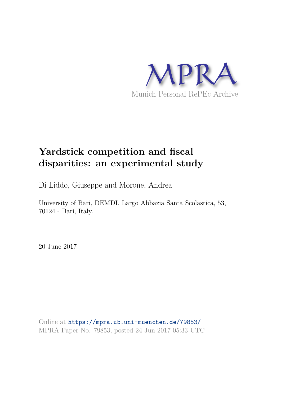

# **Yardstick competition and fiscal disparities: an experimental study**

Di Liddo, Giuseppe and Morone, Andrea

University of Bari, DEMDI. Largo Abbazia Santa Scolastica, 53, 70124 - Bari, Italy.

20 June 2017

Online at https://mpra.ub.uni-muenchen.de/79853/ MPRA Paper No. 79853, posted 24 Jun 2017 05:33 UTC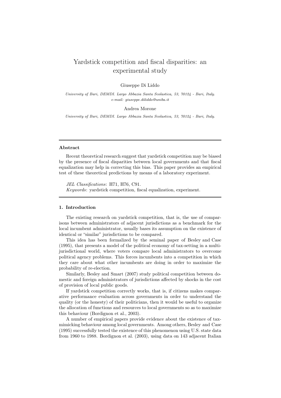# Yardstick competition and fiscal disparities: an experimental study

### Giuseppe Di Liddo

*University of Bari, DEMDI. Largo Abbazia Santa Scolastica, 53, 70124 - Bari, Italy. e-mail: giuseppe.diliddo@uniba.it*

#### Andrea Morone

*University of Bari, DEMDI. Largo Abbazia Santa Scolastica, 53, 70124 - Bari, Italy.*

## Abstract

Recent theoretical research suggest that yardstick competition may be biased by the presence of fiscal disparities between local governments and that fiscal equalization may help in correcting this bias. This paper provides an empirical test of these theoretical predictions by means of a laboratory experiment.

JEL Classifications: H71, H76, C91. Keywords: yardstick competition, fiscal equalization, experiment.

#### 1. Introduction

The existing research on yardstick competition, that is, the use of comparisons between administrators of adjacent jurisdictions as a benchmark for the local incumbent administrator, usually bases its assumption on the existence of identical or "similar" jurisdictions to be compared.

This idea has been formalized by the seminal paper of Besley and Case (1995), that presents a model of the political economy of tax-setting in a multijurisdictional world, where voters compare local administrators to overcome political agency problems. This forces incumbents into a competition in which they care about what other incumbents are doing in order to maximize the probability of re-election.

Similarly, Besley and Smart (2007) study political competition between domestic and foreign administrators of jurisdictions affected by shocks in the cost of provision of local public goods.

If yardstick competition correctly works, that is, if citizens makes comparative performance evaluation across governments in order to understand the quality (or the honesty) of their politicians, then it would be useful to organize the allocation of functions and resources to local governments so as to maximize this behaviour (Bordignon et al., 2003).

A number of empirical papers provide evidence about the existence of taxmimicking behaviour among local governments. Among others, Besley and Case (1995) successfully tested the existence of this phenomenon using U.S. state data from 1960 to 1988. Bordignon et al. (2003), using data on 143 adjacent Italian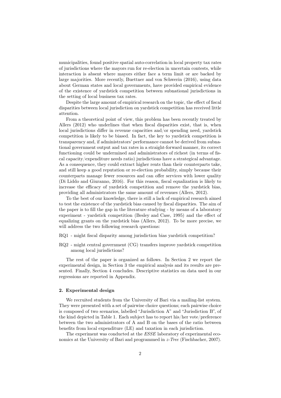municipalities, found positive spatial auto-correlation in local property tax rates of jurisdictions where the mayors run for re-election in uncertain contests, while interaction is absent where mayors either face a term limit or are backed by large majorities. More recently, Buettner and von Schwerin (2016), using data about German states and local governments, have provided empirical evidence of the existence of yardstick competition between subnational jurisdictions in the setting of local business tax rates.

Despite the large amount of empirical research on the topic, the effect of fiscal disparities between local jurisdiction on yardstick competition has received little attention.

From a theoretical point of view, this problem has been recently treated by Allers (2012) who underlines that when fiscal disparities exist, that is, when local jurisdictions differ in revenue capacities and/or spending need, yardstick competition is likely to be biased. In fact, the key to yardstick competition is transparency and, if administrators' performance cannot be derived from subnational government output and tax rates in a straight-forward manner, its correct functioning could be undermined and administrators of richest (in terms of fiscal capacity/expenditure needs ratio) jurisdictions have a strategical advantage. As a consequence, they could extract higher rents than their counterparts take, and still keep a good reputation or re-election probability, simply because their counterparts manage fewer resources and can offer services with lower quality (Di Liddo and Giuranno, 2016). For this reason, fiscal equalization is likely to increase the efficacy of yardstick competition and remove the yardstick bias, providing all administrators the same amount of revenues (Allers, 2012).

To the best of our knowledge, there is still a lack of empirical research aimed to test the existence of the yardstick bias caused by fiscal disparities. The aim of the paper is to fill the gap in the literature studying - by means of a laboratory experiment - yardstick competition (Besley and Case, 1995) and the effect of equalizing grants on the yardstick bias (Allers, 2012). To be more precise, we will address the two following research questions:

- RQ1 might fiscal disparity among jurisdiction bias yardstick competition?
- RQ2 might central government (CG) transfers improve yardstick competition among local jurisdictions?

The rest of the paper is organized as follows. In Section 2 we report the experimental design, in Section 3 the empirical analysis and its results are presented. Finally, Section 4 concludes. Descriptive statistics on data used in our regressions are reported in Appendix.

#### 2. Experimental design

We recruited students from the University of Bari via a mailing-list system. They were presented with a set of pairwise choice questions; each pairwise choice is composed of two scenarios, labelled "Jurisdiction A" and "Jurisdiction B", of the kind depicted in Table 1. Each subject has to report his/her vote/preference between the two administrators of A and B on the bases of the ratio between benefits from local expenditure (LE) and taxation in each jurisdiction.

The experiment was conducted at the ESSE laboratory of experimental economics at the University of Bari and programmed in z-Tree (Fischbacher, 2007).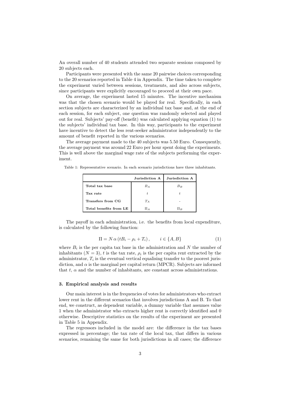An overall number of 40 students attended two separate sessions composed by 20 subjects each.

Participants were presented with the same 20 pairwise choices corresponding to the 20 scenarios reported in Table 4 in Appendix. The time taken to complete the experiment varied between sessions, treatments, and also across subjects, since participants were explicitly encouraged to proceed at their own pace.

On average, the experiment lasted 15 minutes. The incentive mechanism was that the chosen scenario would be played for real. Specifically, in each section subjects are characterized by an individual tax base and, at the end of each session, for each subject, one question was randomly selected and played out for real. Subjects' pay-off (benefit) was calculated applying equation (1) to the subjects' individual tax base. In this way, participants to the experiment have incentive to detect the less rent-seeker administrator independently to the amount of benefit reported in the various scenarios.

The average payment made to the 40 subjects was 5.50 Euro. Consequently, the average payment was around 22 Euro per hour spent doing the experiments. This is well above the marginal wage rate of the subjects performing the experiment.

Table 1: Representative scenario. In each scenario jurisdictions have three inhabitants.

|                        | Jurisdiction A | Jurisdiction A |  |  |
|------------------------|----------------|----------------|--|--|
| Total tax base         | $B_A$          | $B_B$          |  |  |
| Tax rate               | t.             |                |  |  |
| Transfers from CG      | $T_A$          |                |  |  |
| Total benefits from LE | $\Pi_A$        | $\Pi_B$        |  |  |

The payoff in each administration, i.e. the benefits from local expenditure, is calculated by the following function:

$$
\Pi = N \alpha \left( t B_i - \rho_i + T_i \right), \qquad i \in \{A, B\} \tag{1}
$$

where  $B_i$  is the per capita tax base in the administration and N the number of inhabitants  $(N = 3)$ , t is the tax rate,  $\rho_i$  is the per capita rent extracted by the administrator,  $T_i$  is the eventual vertical equalising transfer to the poorest jurisdiction, and  $\alpha$  is the marginal per capital return (MPCR). Subjects are informed that  $t$ ,  $\alpha$  and the number of inhabitants, are constant across administrations.

#### 3. Empirical analysis and results

Our main interest is in the frequencies of votes for administrators who extract lower rent in the different scenarios that involves jurisdictions A and B. To that end, we construct, as dependent variable, a dummy variable that assumes value 1 when the administrator who extracts higher rent is correctly identified and 0 otherwise. Descriptive statistics on the results of the experiment are presented in Table 5 in Appendix.

The regressors included in the model are: the difference in the tax bases expressed in percentage; the tax rate of the local tax, that differs in various scenarios, remaining the same for both jurisdictions in all cases; the difference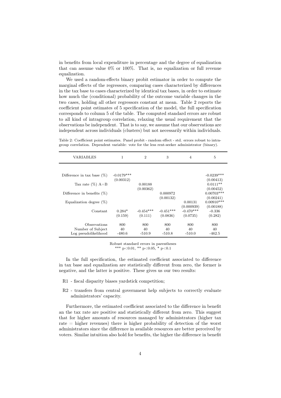in benefits from local expenditure in percentage and the degree of equalization that can assume value  $0\%$  or  $100\%$ . That is, no equalization or full revenue equalization.

We used a random-effects binary probit estimator in order to compute the marginal effects of the regressors, comparing cases characterized by differences in the tax base to cases characterized by identical tax bases, in order to estimate how much the (conditional) probability of the outcome variable changes in the two cases, holding all other regressors constant at mean. Table 2 reports the coefficient point estimates of 5 specification of the model, the full specification corresponds to column 5 of the table. The computed standard errors are robust to all kind of intragroup correlation, relaxing the usual requirement that the observations be independent. That is to say, we assume that our observations are independent across individuals (clusters) but not necessarily within individuals.

Table 2: Coefficient point estimates. Panel probit - random effect - std. errors robust to intragroup correlation. Dependent variable: vote for the less rent-seeker administrator (binary).

| VARIABLES                                                 | 1                   | $\mathcal{D}$          | 3                       | $\overline{4}$                        | 5                                |  |
|-----------------------------------------------------------|---------------------|------------------------|-------------------------|---------------------------------------|----------------------------------|--|
|                                                           |                     |                        |                         |                                       |                                  |  |
| Difference in tax base $(\%)$                             | $-0.0179***$        |                        |                         |                                       | $-0.0239***$                     |  |
| Tax rate $(\%)$ A=B                                       | (0.00312)           | 0.00188                |                         |                                       | (0.00413)<br>$0.0111**$          |  |
|                                                           |                     | (0.00362)              |                         |                                       | (0.00452)                        |  |
| Difference in benefits $(\%)$                             |                     |                        | 0.000972<br>(0.00132)   |                                       | $0.00703***$<br>(0.00241)        |  |
| Equalization degree $(\%)$                                |                     |                        |                         | 0.00131                               | $0.00910***$                     |  |
| Constant                                                  | $0.284*$<br>(0.159) | $-0.454***$<br>(0.111) | $-0.451***$<br>(0.0836) | (0.000939)<br>$-0.470***$<br>(0.0735) | (0.00188)<br>$-0.336$<br>(0.282) |  |
| Observations<br>Number of Subject<br>Log pseudolikelihood | 800<br>40<br>-480.6 | 800<br>40<br>$-510.9$  | 800<br>40<br>$-510.8$   | 800<br>40<br>$-510.0$                 | 800<br>40<br>$-462.5$            |  |

Robust standard errors in parentheses \*\*\* p<0.01, \*\* p<0.05, \* p<0.1

In the full specification, the estimated coefficient associated to difference in tax base and equalization are statistically different from zero, the former is negative, and the latter is positive. These gives us our two results:

- R1 fiscal disparity biases yardstick competition;
- R2 transfers from central government help subjects to correctly evaluate administrators' capacity.

Furthermore, the estimated coefficient associated to the difference in benefit an the tax rate are positive and statistically different from zero. This suggest that for higher amounts of resources managed by administrators (higher tax rate = higher revenues) there is higher probability of detection of the worst administrators since the difference in available resources are better perceived by voters. Similar intuition also hold for benefits, the higher the difference in benefit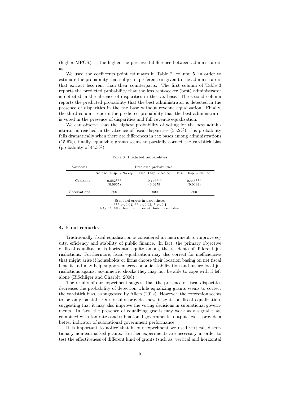(higher MPCR) is, the higher the perceived difference between administrators is.

We used the coefficents point estimates in Table 2, column 5, in order to estimate the probability that subjects' preference is given to the administrators that extract less rent than their counterparts. The first column of Table 3 reports the predicted probability that the less rent-seeker (best) administrator is detected in the absence of disparities in the tax base. The second column reports the predicted probability that the best administrator is detected in the presence of disparities in the tax base without revenue equalization. Finally, the third column reports the predicted probability that the best administrator is voted in the presence of disparities and full revenue equalization.

We can observe that the highest probability of voting for the best administrator is reached in the absence of fiscal disparities (55.2%), this probability falls dramatically when there are differences in tax bases among administrations (15.6%), finally equalizing grants seems to partially correct the yardstick bias (probability of 44.3%).

| Variables    | Predicted probabilities |                        |                        |  |  |  |
|--------------|-------------------------|------------------------|------------------------|--|--|--|
|              | No fisc. Disp. - No eq. | Fisc. Disp. - No eq.   | Fisc. Disp. - Full eq. |  |  |  |
| Constant     | $0.552***$<br>(0.0665)  | $0.156***$<br>(0.0279) | $0.443***$<br>(0.0392) |  |  |  |
| Observations | 800                     | 800                    | 800                    |  |  |  |

Table 3: Predicted probabilities.

Standard errors in parentheses

\*\*\* p<0.01, \*\* p<0.05, \* p<0.1 NOTE: All other predictors at their mean value.

#### 4. Final remarks

Traditionally, fiscal equalisation is considered an instrument to improve equity, efficiency and stability of public finance. In fact, the primary objective of fiscal equalisation is horizontal equity among the residents of different jurisdictions. Furthermore, fiscal equalization may also correct for inefficiencies that might arise if households or firms choose their location basing on net fiscal benefit and may help support macroeconomic stabilization and insure local jurisdictions against asymmetric shocks they may not be able to cope with if left alone (Blöchliger and Charbit, 2008).

The results of our experiment suggest that the presence of fiscal disparities decreases the probability of detection while equalizing grants seems to correct the yardstick bias, as suggested by Allers (2012). However, the correction seems to be only partial. Our results provides new insights on fiscal equalization, suggesting that it may also improve the voting decisions in subnational governments. In fact, the presence of equalizing grants may work as a signal that, combined with tax rates and subnational governments' output levels, provide a better indicator of subnational government performance.

It is important to notice that in our experiment we used vertical, discretionary non-earmarked grants. Further experiments are necessary in order to test the effectiveness of different kind of grants (such as, vertical and horizontal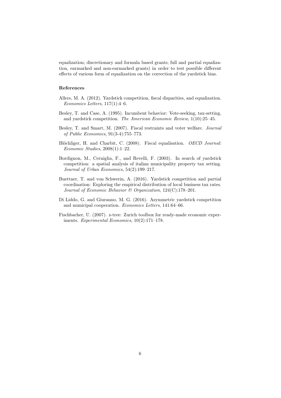equalization; discretionary and formula based grants; full and partial equalization, earmarked and non-earmarked grants) in order to test possible different effects of various form of equalization on the correction of the yardstick bias.

#### References

- Allers, M. A. (2012). Yardstick competition, fiscal disparities, and equalization. Economics Letters, 117(1):4–6.
- Besley, T. and Case, A. (1995). Incumbent behavior: Vote-seeking, tax-setting, and yardstick competition. The American Economic Review, 1(10):25–45.
- Besley, T. and Smart, M. (2007). Fiscal restraints and voter welfare. Journal of Public Economics, 91(3-4):755–773.
- Blöchliger, H. and Charbit, C. (2008). Fiscal equalisation. OECD Journal: Economic Studies, 2008(1):1–22.
- Bordignon, M., Cerniglia, F., and Revelli, F. (2003). In search of yardstick competition: a spatial analysis of italian municipality property tax setting. Journal of Urban Economics, 54(2):199–217.
- Buettner, T. and von Schwerin, A. (2016). Yardstick competition and partial coordination: Exploring the empirical distribution of local business tax rates. Journal of Economic Behavior & Organization, 124(C):178–201.
- Di Liddo, G. and Giuranno, M. G. (2016). Asymmetric yardstick competition and municipal cooperation. Economics Letters, 141:64–66.
- Fischbacher, U. (2007). z-tree: Zurich toolbox for ready-made economic experiments. Experimental Economics, 10(2):171–178.